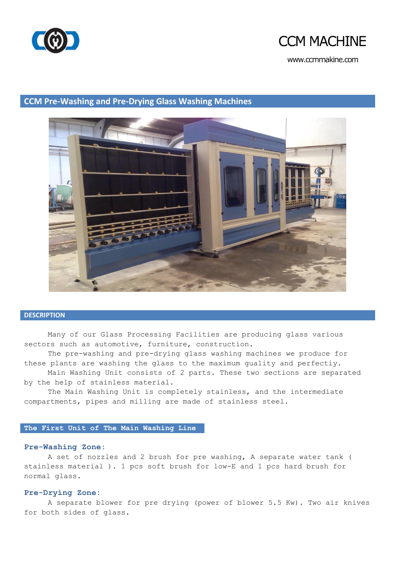

### **CCM MACHINE**

www.ccmmakine.com

### **CCM Pre-Washing and Pre-Drying Glass Washing Machines**

#### **DESCRIPTION**

Many of our Glass Processing Facilities are producing glass various sectors such as automotive, furniture, construction.

The pre-washing and pre-drying glass washing machines we produce for these plants are washing the glass to the maximum guality and perfectiy.

Main Washing Unit consists of 2 parts. These two sections are separated by the help of stainless material.

The Main Washing Unit is completely stainless, and the intermediate compartments, pipes and milling are made of stainless steel.

#### **The First Unit of The Main Washing Line**

#### **Pre-Washing Zone:**

A set of nozzles and 2 brush for pre washing, A separate water tank ( stainless material ). 1 pcs soft brush for low-E and 1 pcs hard brush for normal glass.

#### **Pre-Drying Zone:**

A separate blower for pre drying (power of blower 5.5 Kw). Two air knives for both sides of glass.

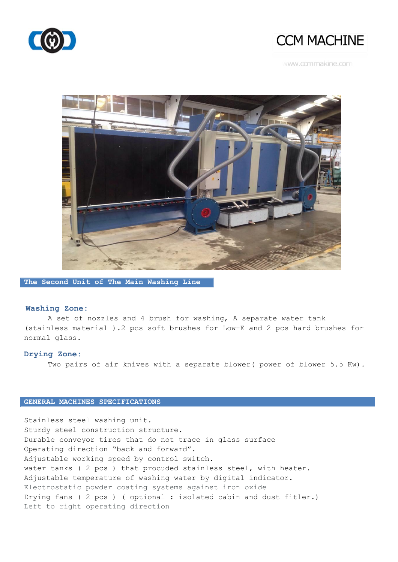

## **CCM MACHINE**

www.ccmmakine.com



**The Second Unit of The Main Washing Line**

#### **Washing Zone:**

A set of nozzles and 4 brush for washing, A separate water tank (stainless material ).2 pcs soft brushes for Low-E and 2 pcs hard brushes for normal glass.

#### **Drying Zone:**

Two pairs of air knives with a separate blower( power of blower 5.5 Kw).

### **GENERAL MACHINES SPECIFICATIONS**

Stainless steel washing unit. Sturdy steel construction structure. Durable conveyor tires that do not trace in glass surface Operating direction "back and forward". Adjustable working speed by control switch. water tanks ( 2 pcs ) that procuded stainless steel, with heater. Adjustable temperature of washing water by digital indicator. Electrostatic powder coating systems against iron oxide Drying fans ( 2 pcs ) ( optional : isolated cabin and dust fitler.) Left to right operating direction